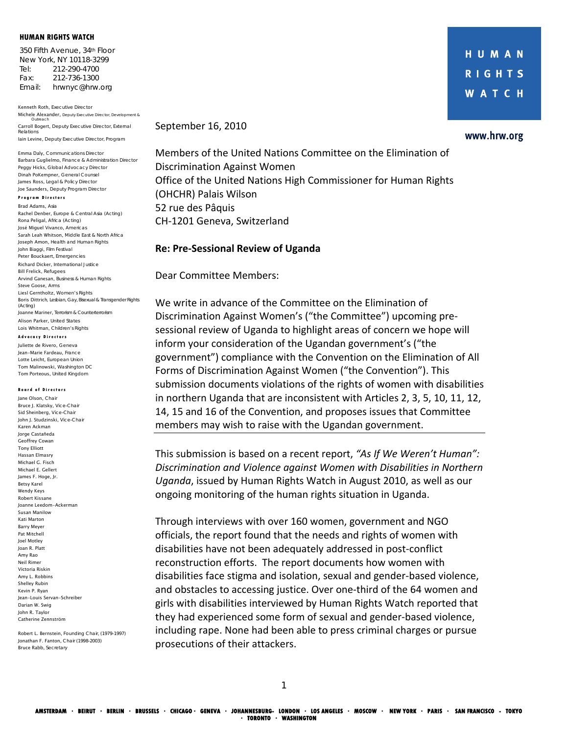#### **HUMAN RIGHTS WATCH**

350 Fifth Avenue, 34th Floor New York, NY 10118-3299 Tel: 212-290-4700 Fax: 212-736-1300 Email: hrwnyc@hrw.org

Kenneth Roth, Executive Director **Michele Alexander,** Deputy Executive Director, Development & Outreach Carroll Bogert, Deputy Executive Director, External September 16, 2010 Iain Levine, Deputy Executive Director, Program

Emma Daly, Communications Director Barbara Guglielmo, Finance & Administration Director Peggy Hicks, Global Advocacy Director Dinah PoKempner, General Counsel James Ross, Legal & Policy Director Joe Saunders, Deputy Program Director **Program Directors Program Director (OHCHR)** Palais Wilson

Rachel Denber, Europe & Central Asia (Acting) Rona Peligal, Africa (Acting) José Miguel Vivanco, Americas Sarah Leah Whitson, Middle East & North Africa Joseph Amon, Health and Human Rights John Biaggi, Film Festival Peter Bouckaert, Emergencies Richard Dicker, International Justice Bill Frelick, Refugees Arvind Ganesan, Business & Human Rights Steve Goose, Arms Liesl Gerntholtz, Women's Rights Boris Dittrich, Lesbian, Gay, Bisexual & Transgender Rights (Acting) Joanne Mariner, Terrorism & Counterterrorism Alison Parker, United States Lois Whitman, Children's Rights

#### **Advocacy Directors**

Juliette de Rivero, Geneva Jean-Marie Fardeau, France Lotte Leicht, European Union Tom Malinowski, Washington DC Tom Porteous, United Kingdom

#### **Board of Directors**

Jane Olson, Chair Bruce J. Klatsky, Vice-Chair Sid Sheinberg, Vice-Chair John J. Studzinski, Vice-Chair Karen Ackman Jorge Castañeda Geoffrey Cowan Tony Elliott Hassan Elmasry Michael G. Fisch Michael E. Gellert James F. Hoge, Jr. Betsy Karel Wendy Keys Robert Kissane Joanne Leedom-Ackerman Susan Manilow Kati Marton Barry Meyer Pat Mitchell Joel Motley Joan R. Platt Amy Rao Neil Rimer Victoria Riskin Amy L. Robbins Shelley Rubin Kevin P. Ryan Jean-Louis Servan-Schreiber Darian W. Swig John R. Taylor Catherine Zennström

Robert L. Bernstein, Founding Chair, (1979-1997) Jonathan F. Fanton, Chair (1998-2003) Bruce Rabb, Secretary

HUMAN **RIGHTS WATCH** 

www.hrw.org

Members of the United Nations Committee on the Elimination of Discrimination Against Women Office of the United Nations High Commissioner for Human Rights Brad Adams, Asia **Brad Adams**, Asia CH‐1201 Geneva, Switzerland

### **Re: Pre‐Sessional Review of Uganda**

Dear Committee Members:

We write in advance of the Committee on the Elimination of Discrimination Against Women's ("the Committee") upcoming pre‐ sessional review of Uganda to highlight areas of concern we hope will inform your consideration of the Ugandan government's ("the government") compliance with the Convention on the Elimination of All Forms of Discrimination Against Women ("the Convention"). This submission documents violations of the rights of women with disabilities in northern Uganda that are inconsistent with Articles 2, 3, 5, 10, 11, 12, 14, 15 and 16 of the Convention, and proposes issues that Committee members may wish to raise with the Ugandan government.

This submission is based on a recent report, *"As If We Weren't Human": Discrimination and Violence against Women with Disabilities in Northern Uganda*, issued by Human Rights Watch in August 2010, as well as our ongoing monitoring of the human rights situation in Uganda.

Through interviews with over 160 women, government and NGO officials, the report found that the needs and rights of women with disabilities have not been adequately addressed in post‐conflict reconstruction efforts. The report documents how women with disabilities face stigma and isolation, sexual and gender‐based violence, and obstacles to accessing justice. Over one‐third of the 64 women and girls with disabilities interviewed by Human Rights Watch reported that they had experienced some form of sexual and gender‐based violence, including rape. None had been able to press criminal charges or pursue prosecutions of their attackers.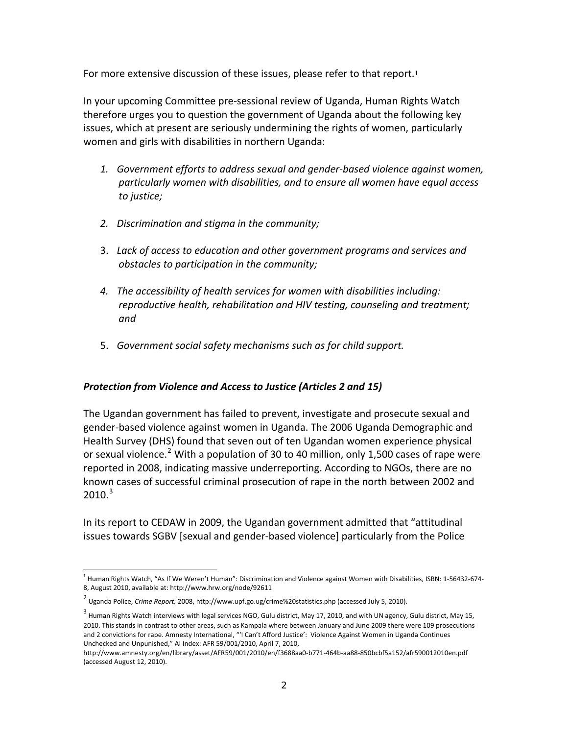For more extensive discussion of these issues, please refer to that report.**[1](#page-1-0)**

In your upcoming Committee pre‐sessional review of Uganda, Human Rights Watch therefore urges you to question the government of Uganda about the following key issues, which at present are seriously undermining the rights of women, particularly women and girls with disabilities in northern Uganda:

- *1. Government efforts to address sexual and gender‐based violence against women, particularly women with disabilities, and to ensure all women have equal access to justice;*
- *2. Discrimination and stigma in the community;*
- 3. *Lack of access to education and other government programs and services and obstacles to participation in the community;*
- *4. The accessibility of health services for women with disabilities including: reproductive health, rehabilitation and HIV testing, counseling and treatment; and*
- 5. *Government social safety mechanisms such as for child support.*

## *Protection from Violence and Access to Justice (Articles 2 and 15)*

The Ugandan government has failed to prevent, investigate and prosecute sexual and gender‐based violence against women in Uganda. The 2006 Uganda Demographic and Health Survey (DHS) found that seven out of ten Ugandan women experience physical or sexual violence.<sup>[2](#page-1-1)</sup> With a population of 30 to 40 million, only 1,500 cases of rape were reported in 2008, indicating massive underreporting. According to NGOs, there are no known cases of successful criminal prosecution of rape in the north between 2002 and  $2010.<sup>3</sup>$  $2010.<sup>3</sup>$  $2010.<sup>3</sup>$ 

In its report to CEDAW in 2009, the Ugandan government admitted that "attitudinal issues towards SGBV [sexual and gender‐based violence] particularly from the Police

<span id="page-1-0"></span> $\overline{a}$ <sup>1</sup> Human Rights Watch, "As If We Weren't Human": Discrimination and Violence against Women with Disabilities, ISBN: 1-56432-674-8, August 2010, available at: http://www.hrw.org/node/92611

<span id="page-1-1"></span><sup>2</sup> Uganda Police, *Crime Report,* 2008, http://www.upf.go.ug/crime%20statistics.php (accessed July 5, 2010).

<span id="page-1-2"></span><sup>&</sup>lt;sup>3</sup> Human Rights Watch interviews with legal services NGO, Gulu district, May 17, 2010, and with UN agency, Gulu district, May 15, 2010. This stands in contrast to other areas, such as Kampala where between January and June 2009 there were 109 prosecutions and 2 convictions for rape. Amnesty International, "'I Can't Afford Justice': Violence Against Women in Uganda Continues Unchecked and Unpunished," AI Index: AFR 59/001/2010, April 7, 2010,

http://www.amnesty.org/en/library/asset/AFR59/001/2010/en/f3688aa0‐b771‐464b‐aa88‐850bcbf5a152/afr590012010en.pdf (accessed August 12, 2010).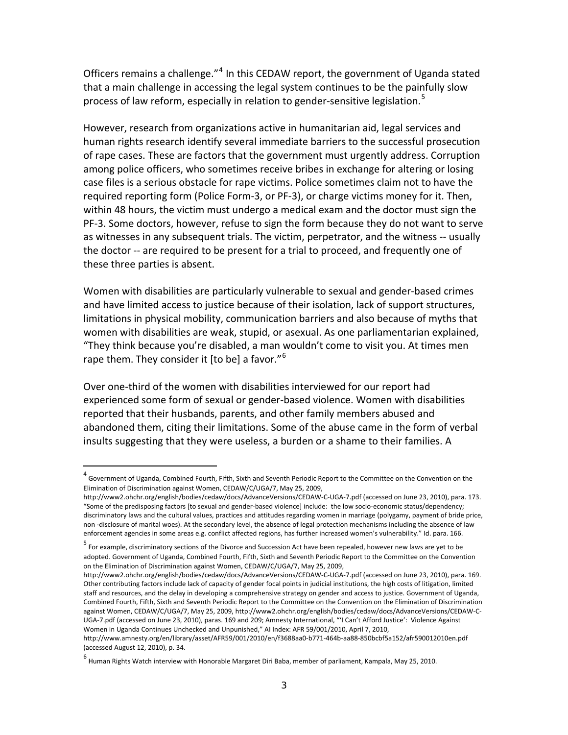Officers remains a challenge."[4](#page-2-0) In this CEDAW report, the government of Uganda stated that a main challenge in accessing the legal system continues to be the painfully slow process of law reform, especially in relation to gender-sensitive legislation.<sup>[5](#page-2-1)</sup>

However, research from organizations active in humanitarian aid, legal services and human rights research identify several immediate barriers to the successful prosecution of rape cases. These are factors that the government must urgently address. Corruption among police officers, who sometimes receive bribes in exchange for altering or losing case files is a serious obstacle for rape victims. Police sometimes claim not to have the required reporting form (Police Form‐3, or PF‐3), or charge victims money for it. Then, within 48 hours, the victim must undergo a medical exam and the doctor must sign the PF‐3. Some doctors, however, refuse to sign the form because they do not want to serve as witnesses in any subsequent trials. The victim, perpetrator, and the witness -- usually the doctor ‐‐ are required to be present for a trial to proceed, and frequently one of these three parties is absent.

Women with disabilities are particularly vulnerable to sexual and gender‐based crimes and have limited access to justice because of their isolation, lack of support structures, limitations in physical mobility, communication barriers and also because of myths that women with disabilities are weak, stupid, or asexual. As one parliamentarian explained, "They think because you're disabled, a man wouldn't come to visit you. At times men rape them. They consider it [to be] a favor." $6$ 

Over one‐third of the women with disabilities interviewed for our report had experienced some form of sexual or gender‐based violence. Women with disabilities reported that their husbands, parents, and other family members abused and abandoned them, citing their limitations. Some of the abuse came in the form of verbal insults suggesting that they were useless, a burden or a shame to their families. A

<span id="page-2-0"></span><sup>&</sup>lt;sup>4</sup> Government of Uganda, Combined Fourth, Fifth, Sixth and Seventh Periodic Report to the Committee on the Convention on the Elimination of Discrimination against Women, CEDAW/C/UGA/7, May 25, 2009,

http://www2.ohchr.org/english/bodies/cedaw/docs/AdvanceVersions/CEDAW‐C‐UGA‐7.pdf (accessed on June 23, 2010), para. 173. "Some of the predisposing factors [to sexual and gender‐based violence] include: the low socio‐economic status/dependency; discriminatory laws and the cultural values, practices and attitudes regarding women in marriage (polygamy, payment of bride price, non ‐disclosure of marital woes). At the secondary level, the absence of legal protection mechanisms including the absence of law enforcement agencies in some areas e.g. conflict affected regions, has further increased women's vulnerability." Id. para. 166.

<span id="page-2-1"></span><sup>5</sup> For example, discriminatory sections of the Divorce and Succession Act have been repealed, however new laws are yet to be adopted. Government of Uganda, Combined Fourth, Fifth, Sixth and Seventh Periodic Report to the Committee on the Convention on the Elimination of Discrimination against Women, CEDAW/C/UGA/7, May 25, 2009,

http://www2.ohchr.org/english/bodies/cedaw/docs/AdvanceVersions/CEDAW‐C‐UGA‐7.pdf (accessed on June 23, 2010), para. 169. Other contributing factors include lack of capacity of gender focal points in judicial institutions, the high costs of litigation, limited staff and resources, and the delay in developing a comprehensive strategy on gender and access to justice. Government of Uganda, Combined Fourth, Fifth, Sixth and Seventh Periodic Report to the Committee on the Convention on the Elimination of Discrimination against Women, CEDAW/C/UGA/7, May 25, 2009, http://www2.ohchr.org/english/bodies/cedaw/docs/AdvanceVersions/CEDAW‐C‐ UGA‐7.pdf (accessed on June 23, 2010), paras. 169 and 209; Amnesty International, "'I Can't Afford Justice': Violence Against Women in Uganda Continues Unchecked and Unpunished," AI Index: AFR 59/001/2010, April 7, 2010,

http://www.amnesty.org/en/library/asset/AFR59/001/2010/en/f3688aa0‐b771‐464b‐aa88‐850bcbf5a152/afr590012010en.pdf (accessed August 12, 2010), p. 34.

<span id="page-2-2"></span><sup>6</sup> Human Rights Watch interview with Honorable Margaret Diri Baba, member of parliament, Kampala, May 25, 2010.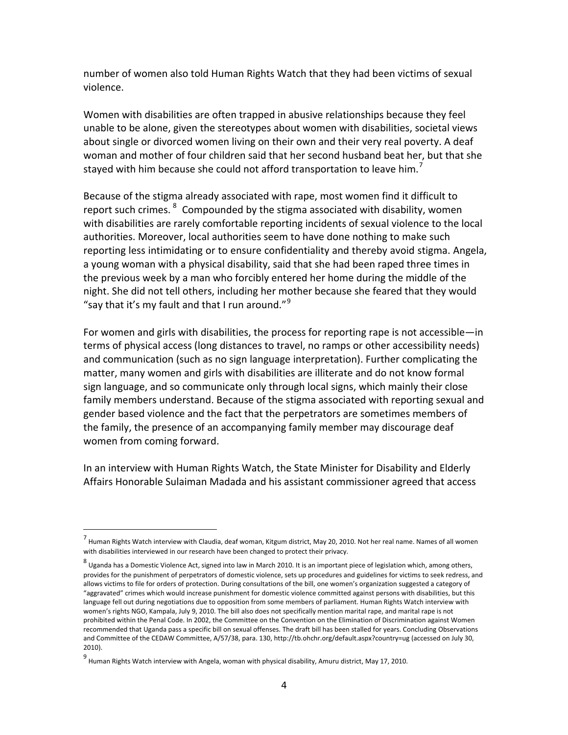number of women also told Human Rights Watch that they had been victims of sexual violence.

Women with disabilities are often trapped in abusive relationships because they feel unable to be alone, given the stereotypes about women with disabilities, societal views about single or divorced women living on their own and their very real poverty. A deaf woman and mother of four children said that her second husband beat her, but that she stayed with him because she could not afford transportation to leave him.<sup>[7](#page-3-0)</sup>

Because of the stigma already associated with rape, most women find it difficult to report such crimes. <sup>[8](#page-3-1)</sup> Compounded by the stigma associated with disability, women with disabilities are rarely comfortable reporting incidents of sexual violence to the local authorities. Moreover, local authorities seem to have done nothing to make such reporting less intimidating or to ensure confidentiality and thereby avoid stigma. Angela, a young woman with a physical disability, said that she had been raped three times in the previous week by a man who forcibly entered her home during the middle of the night. She did not tell others, including her mother because she feared that they would "say that it's my fault and that I run around." $9$ 

For women and girls with disabilities, the process for reporting rape is not accessible—in terms of physical access (long distances to travel, no ramps or other accessibility needs) and communication (such as no sign language interpretation). Further complicating the matter, many women and girls with disabilities are illiterate and do not know formal sign language, and so communicate only through local signs, which mainly their close family members understand. Because of the stigma associated with reporting sexual and gender based violence and the fact that the perpetrators are sometimes members of the family, the presence of an accompanying family member may discourage deaf women from coming forward.

In an interview with Human Rights Watch, the State Minister for Disability and Elderly Affairs Honorable Sulaiman Madada and his assistant commissioner agreed that access

<span id="page-3-0"></span> $^7$  Human Rights Watch interview with Claudia, deaf woman, Kitgum district, May 20, 2010. Not her real name. Names of all women with disabilities interviewed in our research have been changed to protect their privacy.

<span id="page-3-1"></span> $^8$  Uganda has a Domestic Violence Act, signed into law in March 2010. It is an important piece of legislation which, among others, provides for the punishment of perpetrators of domestic violence, sets up procedures and guidelines for victims to seek redress, and allows victims to file for orders of protection. During consultations of the bill, one women's organization suggested a category of "aggravated" crimes which would increase punishment for domestic violence committed against persons with disabilities, but this language fell out during negotiations due to opposition from some members of parliament. Human Rights Watch interview with women's rights NGO, Kampala, July 9, 2010. The bill also does not specifically mention marital rape, and marital rape is not prohibited within the Penal Code. In 2002, the Committee on the Convention on the Elimination of Discrimination against Women recommended that Uganda pass a specific bill on sexual offenses. The draft bill has been stalled for years. Concluding Observations and Committee of the CEDAW Committee, A/57/38, para. 130, http://tb.ohchr.org/default.aspx?country=ug (accessed on July 30, 2010).

<span id="page-3-2"></span><sup>9</sup> Human Rights Watch interview with Angela, woman with physical disability, Amuru district, May 17, 2010.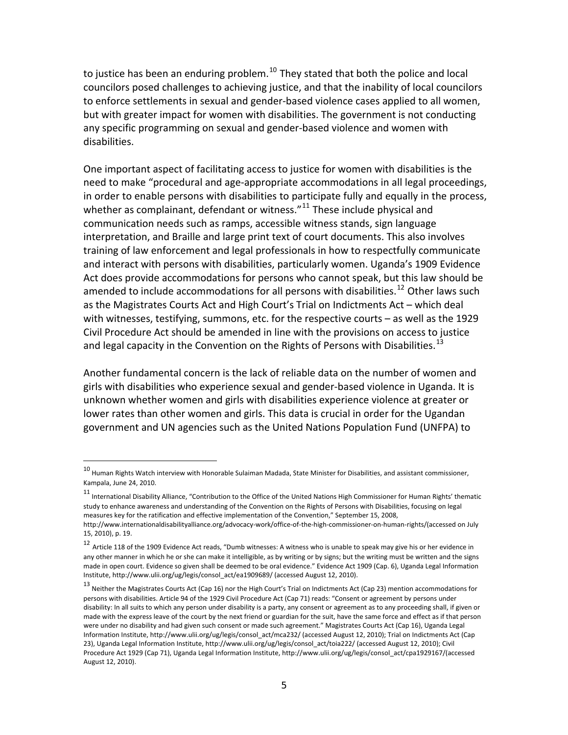to justice has been an enduring problem.<sup>[10](#page-4-0)</sup> They stated that both the police and local councilors posed challenges to achieving justice, and that the inability of local councilors to enforce settlements in sexual and gender‐based violence cases applied to all women, but with greater impact for women with disabilities. The government is not conducting any specific programming on sexual and gender‐based violence and women with disabilities.

One important aspect of facilitating access to justice for women with disabilities is the need to make "procedural and age‐appropriate accommodations in all legal proceedings, in order to enable persons with disabilities to participate fully and equally in the process, whether as complainant, defendant or witness."<sup>[11](#page-4-1)</sup> These include physical and communication needs such as ramps, accessible witness stands, sign language interpretation, and Braille and large print text of court documents. This also involves training of law enforcement and legal professionals in how to respectfully communicate and interact with persons with disabilities, particularly women. Uganda's 1909 Evidence Act does provide accommodations for persons who cannot speak, but this law should be amended to include accommodations for all persons with disabilities.<sup>[12](#page-4-2)</sup> Other laws such as the Magistrates Courts Act and High Court's Trial on Indictments Act – which deal with witnesses, testifying, summons, etc. for the respective courts – as well as the 1929 Civil Procedure Act should be amended in line with the provisions on access to justice and legal capacity in the Convention on the Rights of Persons with Disabilities.<sup>[13](#page-4-3)</sup>

Another fundamental concern is the lack of reliable data on the number of women and girls with disabilities who experience sexual and gender‐based violence in Uganda. It is unknown whether women and girls with disabilities experience violence at greater or lower rates than other women and girls. This data is crucial in order for the Ugandan government and UN agencies such as the United Nations Population Fund (UNFPA) to

<span id="page-4-0"></span><sup>10</sup> Human Rights Watch interview with Honorable Sulaiman Madada, State Minister for Disabilities, and assistant commissioner, Kampala, June 24, 2010.

<span id="page-4-1"></span> $11$  International Disability Alliance, "Contribution to the Office of the United Nations High Commissioner for Human Rights' thematic study to enhance awareness and understanding of the Convention on the Rights of Persons with Disabilities, focusing on legal measures key for the ratification and effective implementation of the Convention," September 15, 2008,

http://www.internationaldisabilityalliance.org/advocacy‐work/office‐of‐the‐high‐commissioner‐on‐human‐rights/(accessed on July 15, 2010), p. 19.

<span id="page-4-2"></span><sup>12</sup> Article <sup>118</sup> of the <sup>1909</sup> Evidence Act reads, "Dumb witnesses: <sup>A</sup> witness who is unable to speak may give his or her evidence in any other manner in which he or she can make it intelligible, as by writing or by signs; but the writing must be written and the signs made in open court. Evidence so given shall be deemed to be oral evidence." Evidence Act 1909 (Cap. 6), Uganda Legal Information Institute, http://www.ulii.org/ug/legis/consol\_act/ea1909689/ (accessed August 12, 2010).

<span id="page-4-3"></span><sup>13</sup> Neither the Magistrates Courts Act (Cap 16) nor the High Court's Trial on Indictments Act (Cap 23) mention accommodations for persons with disabilities. Article 94 of the 1929 Civil Procedure Act (Cap 71) reads: "Consent or agreement by persons under disability: In all suits to which any person under disability is a party, any consent or agreement as to any proceeding shall, if given or made with the express leave of the court by the next friend or guardian for the suit, have the same force and effect as if that person were under no disability and had given such consent or made such agreement." Magistrates Courts Act (Cap 16), Uganda Legal Information Institute, http://www.ulii.org/ug/legis/consol\_act/mca232/ (accessed August 12, 2010); Trial on Indictments Act (Cap 23), Uganda Legal Information Institute, http://www.ulii.org/ug/legis/consol\_act/toia222/ (accessed August 12, 2010); Civil Procedure Act 1929 (Cap 71), Uganda Legal Information Institute, http://www.ulii.org/ug/legis/consol\_act/cpa1929167/(accessed August 12, 2010).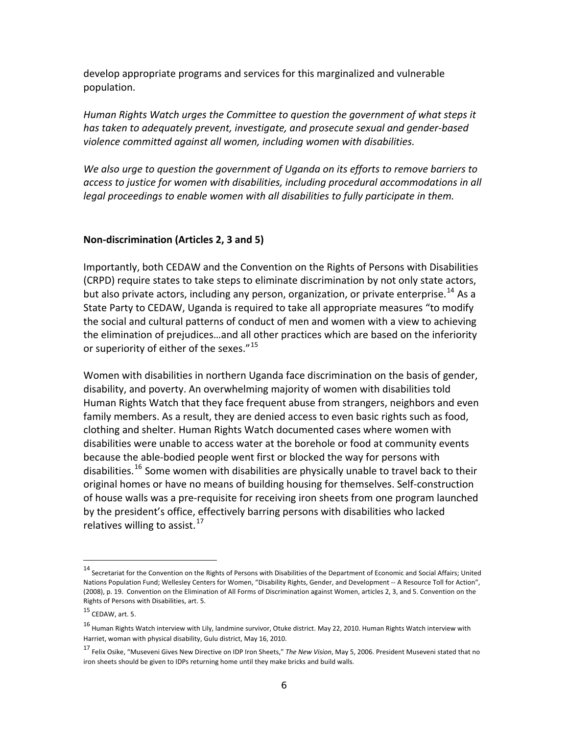develop appropriate programs and services for this marginalized and vulnerable population.

*Human Rights Watch urges the Committee to question the government of what steps it has taken to adequately prevent, investigate, and prosecute sexual and gender‐based violence committed against all women, including women with disabilities.*

*We also urge to question the government of Uganda on its efforts to remove barriers to access to justice for women with disabilities, including procedural accommodations in all legal proceedings to enable women with all disabilities to fully participate in them.*

## **Non‐discrimination (Articles 2, 3 and 5)**

Importantly, both CEDAW and the Convention on the Rights of Persons with Disabilities (CRPD) require states to take steps to eliminate discrimination by not only state actors, but also private actors, including any person, organization, or private enterprise.<sup>[14](#page-5-0)</sup> As a State Party to CEDAW, Uganda is required to take all appropriate measures "to modify the social and cultural patterns of conduct of men and women with a view to achieving the elimination of prejudices…and all other practices which are based on the inferiority or superiority of either of the sexes."<sup>[15](#page-5-1)</sup>

Women with disabilities in northern Uganda face discrimination on the basis of gender, disability, and poverty. An overwhelming majority of women with disabilities told Human Rights Watch that they face frequent abuse from strangers, neighbors and even family members. As a result, they are denied access to even basic rights such as food, clothing and shelter. Human Rights Watch documented cases where women with disabilities were unable to access water at the borehole or food at community events because the able‐bodied people went first or blocked the way for persons with disabilities.<sup>[16](#page-5-2)</sup> Some women with disabilities are physically unable to travel back to their original homes or have no means of building housing for themselves. Self‐construction of house walls was a pre‐requisite for receiving iron sheets from one program launched by the president's office, effectively barring persons with disabilities who lacked relatives willing to assist. $17$ 

<span id="page-5-0"></span><sup>&</sup>lt;sup>14</sup> Secretariat for the Convention on the Rights of Persons with Disabilities of the Department of Economic and Social Affairs; United Nations Population Fund; Wellesley Centers for Women, "Disability Rights, Gender, and Development ‐‐ A Resource Toll for Action", (2008), p. 19. Convention on the Elimination of All Forms of Discrimination against Women, articles 2, 3, and 5. Convention on the Rights of Persons with Disabilities, art. 5.

<span id="page-5-1"></span><sup>15</sup> CEDAW, art. 5.

<span id="page-5-2"></span><sup>16</sup> Human Rights Watch interview with Lily, landmine survivor, Otuke district. May 22, 2010. Human Rights Watch interview with Harriet, woman with physical disability, Gulu district, May 16, 2010.

<span id="page-5-3"></span><sup>17</sup> Felix Osike, "Museveni Gives New Directive on IDP Iron Sheets," *The New Vision*, May 5, 2006. President Museveni stated that no iron sheets should be given to IDPs returning home until they make bricks and build walls.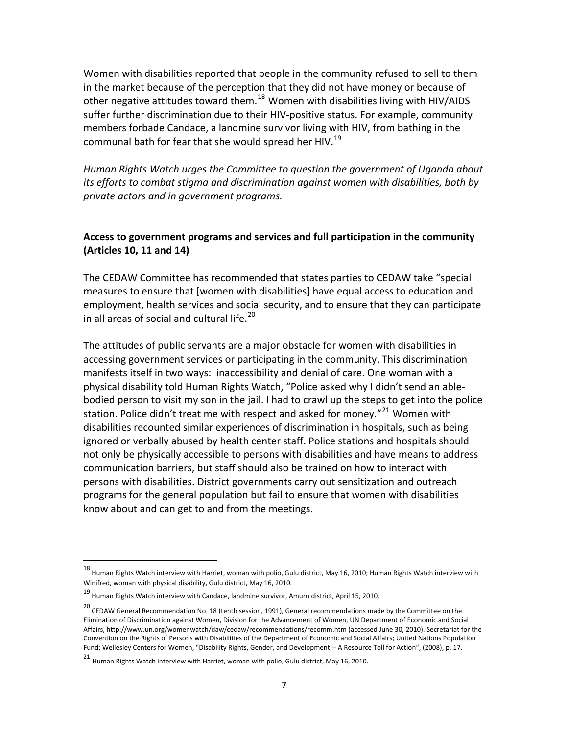Women with disabilities reported that people in the community refused to sell to them in the market because of the perception that they did not have money or because of other negative attitudes toward them.<sup>[18](#page-6-0)</sup> Women with disabilities living with HIV/AIDS suffer further discrimination due to their HIV‐positive status. For example, community members forbade Candace, a landmine survivor living with HIV, from bathing in the communal bath for fear that she would spread her HIV.<sup>[19](#page-6-1)</sup>

*Human Rights Watch urges the Committee to question the government of Uganda about its efforts to combat stigma and discrimination against women with disabilities, both by private actors and in government programs.*

# **Access to government programs and services and full participation in the community (Articles 10, 11 and 14)**

The CEDAW Committee has recommended that states parties to CEDAW take "special measures to ensure that [women with disabilities] have equal access to education and employment, health services and social security, and to ensure that they can participate in all areas of social and cultural life. $^{20}$  $^{20}$  $^{20}$ 

The attitudes of public servants are a major obstacle for women with disabilities in accessing government services or participating in the community. This discrimination manifests itself in two ways: inaccessibility and denial of care. One woman with a physical disability told Human Rights Watch, "Police asked why I didn't send an able‐ bodied person to visit my son in the jail. I had to crawl up the steps to get into the police station. Police didn't treat me with respect and asked for money."<sup>[21](#page-6-3)</sup> Women with disabilities recounted similar experiences of discrimination in hospitals, such as being ignored or verbally abused by health center staff. Police stations and hospitals should not only be physically accessible to persons with disabilities and have means to address communication barriers, but staff should also be trained on how to interact with persons with disabilities. District governments carry out sensitization and outreach programs for the general population but fail to ensure that women with disabilities know about and can get to and from the meetings.

<span id="page-6-0"></span><sup>18</sup> Human Rights Watch interview with Harriet, woman with polio, Gulu district, May 16, 2010; Human Rights Watch interview with Winifred, woman with physical disability, Gulu district, May 16, 2010.

<span id="page-6-1"></span><sup>19</sup> Human Rights Watch interview with Candace, landmine survivor, Amuru district, April 15, 2010.

<span id="page-6-2"></span><sup>&</sup>lt;sup>20</sup> CEDAW General Recommendation No. 18 (tenth session, 1991), General recommendations made by the Committee on the Elimination of Discrimination against Women, Division for the Advancement of Women, UN Department of Economic and Social Affairs, http://www.un.org/womenwatch/daw/cedaw/recommendations/recomm.htm (accessed June 30, 2010). Secretariat for the Convention on the Rights of Persons with Disabilities of the Department of Economic and Social Affairs; United Nations Population Fund; Wellesley Centers for Women, "Disability Rights, Gender, and Development ‐‐ A Resource Toll for Action", (2008), p. 17.

<span id="page-6-3"></span><sup>21</sup> Human Rights Watch interview with Harriet, woman with polio, Gulu district, May 16, 2010.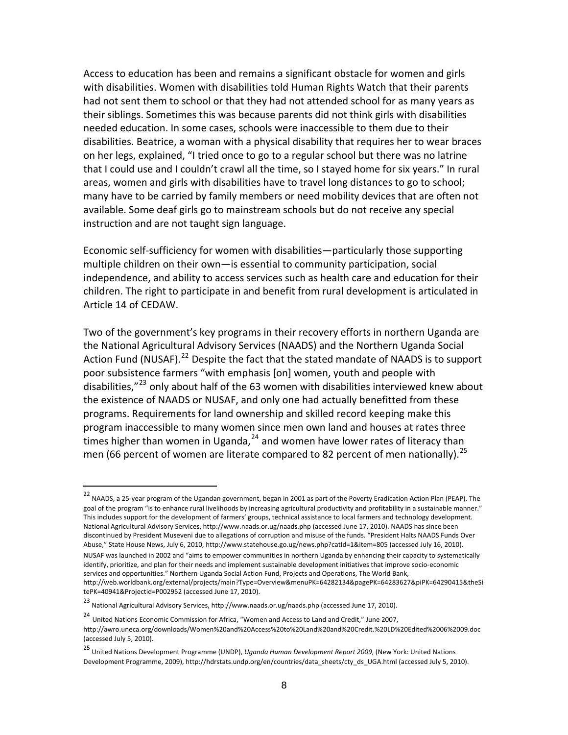Access to education has been and remains a significant obstacle for women and girls with disabilities. Women with disabilities told Human Rights Watch that their parents had not sent them to school or that they had not attended school for as many years as their siblings. Sometimes this was because parents did not think girls with disabilities needed education. In some cases, schools were inaccessible to them due to their disabilities. Beatrice, a woman with a physical disability that requires her to wear braces on her legs, explained, "I tried once to go to a regular school but there was no latrine that I could use and I couldn't crawl all the time, so I stayed home for six years." In rural areas, women and girls with disabilities have to travel long distances to go to school; many have to be carried by family members or need mobility devices that are often not available. Some deaf girls go to mainstream schools but do not receive any special instruction and are not taught sign language.

Economic self‐sufficiency for women with disabilities—particularly those supporting multiple children on their own—is essential to community participation, social independence, and ability to access services such as health care and education for their children. The right to participate in and benefit from rural development is articulated in Article 14 of CEDAW.

Two of the government's key programs in their recovery efforts in northern Uganda are the National Agricultural Advisory Services (NAADS) and the Northern Uganda Social Action Fund (NUSAF).<sup>[22](#page-7-0)</sup> Despite the fact that the stated mandate of NAADS is to support poor subsistence farmers "with emphasis [on] women, youth and people with disabilities,"<sup>[23](#page-7-1)</sup> only about half of the 63 women with disabilities interviewed knew about the existence of NAADS or NUSAF, and only one had actually benefitted from these programs. Requirements for land ownership and skilled record keeping make this program inaccessible to many women since men own land and houses at rates three times higher than women in Uganda, $^{24}$  $^{24}$  $^{24}$  and women have lower rates of literacy than men (66 percent of women are literate compared to 82 percent of men nationally).  $^{25}$  $^{25}$  $^{25}$ 

<span id="page-7-0"></span><sup>22</sup> NAADS, a 25-year program of the Ugandan government, began in 2001 as part of the Poverty Eradication Action Plan (PEAP). The goal of the program "is to enhance rural livelihoods by increasing agricultural productivity and profitability in a sustainable manner." This includes support for the development of farmers' groups, technical assistance to local farmers and technology development. National Agricultural Advisory Services, http://www.naads.or.ug/naads.php (accessed June 17, 2010). NAADS has since been discontinued by President Museveni due to allegations of corruption and misuse of the funds. "President Halts NAADS Funds Over Abuse," State House News, July 6, 2010, http://www.statehouse.go.ug/news.php?catId=1&item=805 (accessed July 16, 2010).

NUSAF was launched in 2002 and "aims to empower communities in northern Uganda by enhancing their capacity to systematically identify, prioritize, and plan for their needs and implement sustainable development initiatives that improve socio‐economic services and opportunities." Northern Uganda Social Action Fund, Projects and Operations, The World Bank, http://web.worldbank.org/external/projects/main?Type=Overview&menuPK=64282134&pagePK=64283627&piPK=64290415&theSi tePK=40941&Projectid=P002952 (accessed June 17, 2010).

<span id="page-7-1"></span><sup>23</sup> National Agricultural Advisory Services, http://www.naads.or.ug/naads.php (accessed June 17, 2010).

<span id="page-7-2"></span><sup>24</sup> United Nations Economic Commission for Africa, "Women and Access to Land and Credit," June 2007, http://awro.uneca.org/downloads/Women%20and%20Access%20to%20Land%20and%20Credit.%20LD%20Edited%2006%2009.doc (accessed July 5, 2010).

<span id="page-7-3"></span><sup>25</sup> United Nations Development Programme (UNDP), *Uganda Human Development Report <sup>2009</sup>*, (New York: United Nations Development Programme, 2009), http://hdrstats.undp.org/en/countries/data\_sheets/cty\_ds\_UGA.html (accessed July 5, 2010).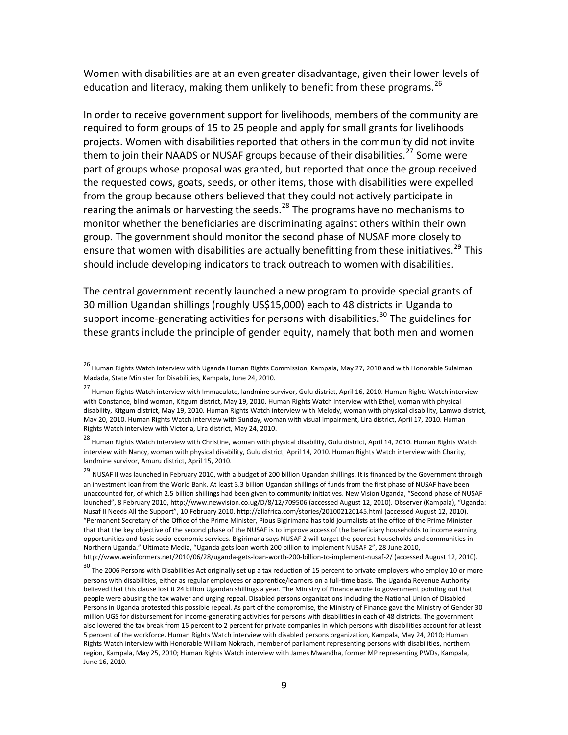Women with disabilities are at an even greater disadvantage, given their lower levels of education and literacy, making them unlikely to benefit from these programs.<sup>[26](#page-8-0)</sup>

In order to receive government support for livelihoods, members of the community are required to form groups of 15 to 25 people and apply for small grants for livelihoods projects. Women with disabilities reported that others in the community did not invite them to join their NAADS or NUSAF groups because of their disabilities.<sup>[27](#page-8-1)</sup> Some were part of groups whose proposal was granted, but reported that once the group received the requested cows, goats, seeds, or other items, those with disabilities were expelled from the group because others believed that they could not actively participate in rearing the animals or harvesting the seeds.<sup>[28](#page-8-2)</sup> The programs have no mechanisms to monitor whether the beneficiaries are discriminating against others within their own group. The government should monitor the second phase of NUSAF more closely to ensure that women with disabilities are actually benefitting from these initiatives.<sup>[29](#page-8-3)</sup> This should include developing indicators to track outreach to women with disabilities.

The central government recently launched a new program to provide special grants of 30 million Ugandan shillings (roughly US\$15,000) each to 48 districts in Uganda to support income-generating activities for persons with disabilities.<sup>[30](#page-8-4)</sup> The guidelines for these grants include the principle of gender equity, namely that both men and women

 $\overline{a}$ 

<span id="page-8-0"></span><sup>26</sup> Human Rights Watch interview with Uganda Human Rights Commission, Kampala, May 27, <sup>2010</sup> and with Honorable Sulaiman Madada, State Minister for Disabilities, Kampala, June 24, 2010.

<span id="page-8-1"></span><sup>27</sup> Human Rights Watch interview with Immaculate, landmine survivor, Gulu district, April 16, 2010. Human Rights Watch interview with Constance, blind woman, Kitgum district, May 19, 2010. Human Rights Watch interview with Ethel, woman with physical disability, Kitgum district, May 19, 2010. Human Rights Watch interview with Melody, woman with physical disability, Lamwo district, May 20, 2010. Human Rights Watch interview with Sunday, woman with visual impairment, Lira district, April 17, 2010. Human Rights Watch interview with Victoria, Lira district, May 24, 2010.

<span id="page-8-2"></span><sup>28</sup> Human Rights Watch interview with Christine, woman with physical disability, Gulu district, April 14, 2010. Human Rights Watch interview with Nancy, woman with physical disability, Gulu district, April 14, 2010. Human Rights Watch interview with Charity, landmine survivor, Amuru district, April 15, 2010.

<span id="page-8-3"></span><sup>&</sup>lt;sup>29</sup> NUSAF II was launched in February 2010, with a budget of 200 billion Ugandan shillings. It is financed by the Government through an investment loan from the World Bank. At least 3.3 billion Ugandan shillings of funds from the first phase of NUSAF have been unaccounted for, of which 2.5 billion shillings had been given to community initiatives. New Vision Uganda, "Second phase of NUSAF launched", 8 February 2010, http://www.newvision.co.ug/D/8/12/709506 (accessed August 12, 2010). Observer (Kampala), "Uganda: Nusaf II Needs All the Support", 10 February 2010. http://allafrica.com/stories/201002120145.html (accessed August 12, 2010). "Permanent Secretary of the Office of the Prime Minister, Pious Bigirimana has told journalists at the office of the Prime Minister that that the key objective of the second phase of the NUSAF is to improve access of the beneficiary households to income earning opportunities and basic socio‐economic services. Bigirimana says NUSAF 2 will target the poorest households and communities in Northern Uganda." Ultimate Media, "Uganda gets loan worth 200 billion to implement NUSAF 2", 28 June 2010, http://www.weinformers.net/2010/06/28/uganda‐gets‐loan‐worth‐200‐billion‐to‐implement‐nusaf‐2/ (accessed August 12, 2010).

<span id="page-8-4"></span> $30$  The 2006 Persons with Disabilities Act originally set up a tax reduction of 15 percent to private employers who employ 10 or more persons with disabilities, either as regular employees or apprentice/learners on a full‐time basis. The Uganda Revenue Authority believed that this clause lost it 24 billion Ugandan shillings a year. The Ministry of Finance wrote to government pointing out that people were abusing the tax waiver and urging repeal. Disabled persons organizations including the National Union of Disabled Persons in Uganda protested this possible repeal. As part of the compromise, the Ministry of Finance gave the Ministry of Gender 30 million UGS for disbursement for income‐generating activities for persons with disabilities in each of 48 districts. The government also lowered the tax break from 15 percent to 2 percent for private companies in which persons with disabilities account for at least 5 percent of the workforce. Human Rights Watch interview with disabled persons organization, Kampala, May 24, 2010; Human Rights Watch interview with Honorable William Nokrach, member of parliament representing persons with disabilities, northern region, Kampala, May 25, 2010; Human Rights Watch interview with James Mwandha, former MP representing PWDs, Kampala, June 16, 2010.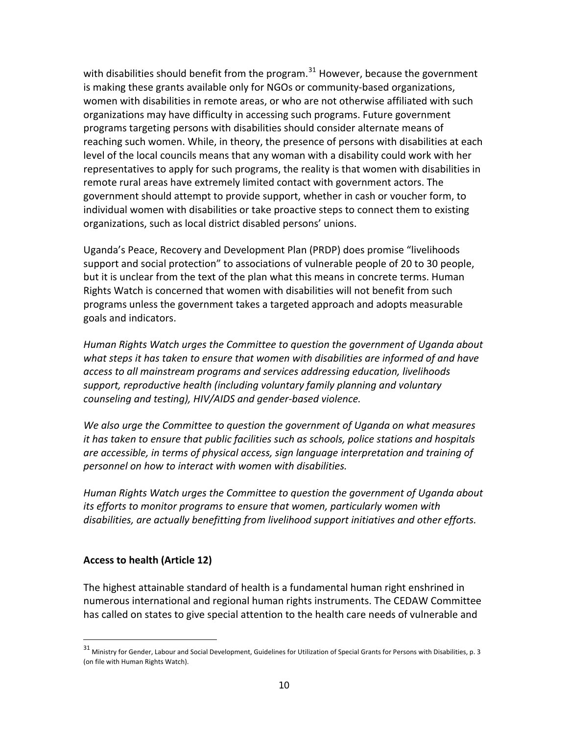with disabilities should benefit from the program. $31$  However, because the government is making these grants available only for NGOs or community‐based organizations, women with disabilities in remote areas, or who are not otherwise affiliated with such organizations may have difficulty in accessing such programs. Future government programs targeting persons with disabilities should consider alternate means of reaching such women. While, in theory, the presence of persons with disabilities at each level of the local councils means that any woman with a disability could work with her representatives to apply for such programs, the reality is that women with disabilities in remote rural areas have extremely limited contact with government actors. The government should attempt to provide support, whether in cash or voucher form, to individual women with disabilities or take proactive steps to connect them to existing organizations, such as local district disabled persons' unions.

Uganda's Peace, Recovery and Development Plan (PRDP) does promise "livelihoods support and social protection" to associations of vulnerable people of 20 to 30 people, but it is unclear from the text of the plan what this means in concrete terms. Human Rights Watch is concerned that women with disabilities will not benefit from such programs unless the government takes a targeted approach and adopts measurable goals and indicators.

*Human Rights Watch urges the Committee to question the government of Uganda about what steps it has taken to ensure that women with disabilities are informed of and have access to all mainstream programs and services addressing education, livelihoods support, reproductive health (including voluntary family planning and voluntary counseling and testing), HIV/AIDS and gender‐based violence.* 

*We also urge the Committee to question the government of Uganda on what measures it has taken to ensure that public facilities such as schools, police stations and hospitals are accessible, in terms of physical access, sign language interpretation and training of personnel on how to interact with women with disabilities.*

*Human Rights Watch urges the Committee to question the government of Uganda about its efforts to monitor programs to ensure that women, particularly women with disabilities, are actually benefitting from livelihood support initiatives and other efforts.* 

# **Access to health (Article 12)**

 $\overline{a}$ 

The highest attainable standard of health is a fundamental human right enshrined in numerous international and regional human rights instruments. The CEDAW Committee has called on states to give special attention to the health care needs of vulnerable and

<span id="page-9-0"></span> $31$  Ministry for Gender, Labour and Social Development, Guidelines for Utilization of Special Grants for Persons with Disabilities, p. 3 (on file with Human Rights Watch).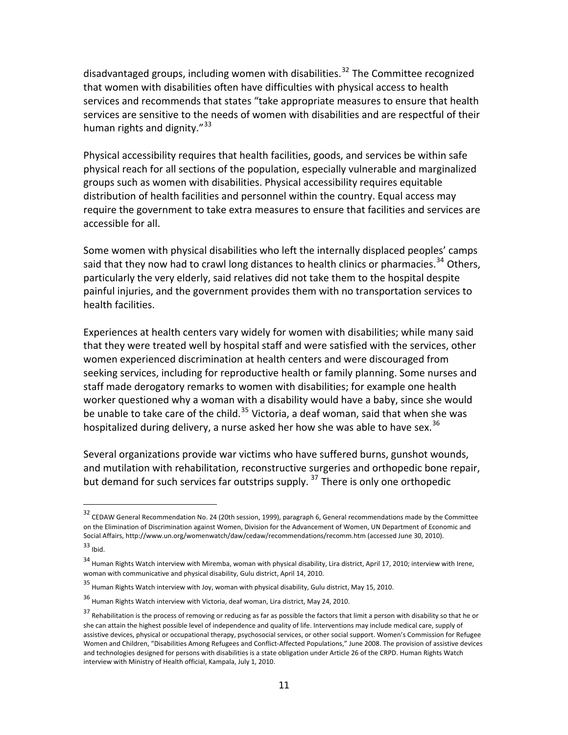disadvantaged groups, including women with disabilities.<sup>[32](#page-10-0)</sup> The Committee recognized that women with disabilities often have difficulties with physical access to health services and recommends that states "take appropriate measures to ensure that health services are sensitive to the needs of women with disabilities and are respectful of their human rights and dignity."<sup>[33](#page-10-1)</sup>

Physical accessibility requires that health facilities, goods, and services be within safe physical reach for all sections of the population, especially vulnerable and marginalized groups such as women with disabilities. Physical accessibility requires equitable distribution of health facilities and personnel within the country. Equal access may require the government to take extra measures to ensure that facilities and services are accessible for all.

Some women with physical disabilities who left the internally displaced peoples' camps said that they now had to crawl long distances to health clinics or pharmacies.<sup>[34](#page-10-2)</sup> Others, particularly the very elderly, said relatives did not take them to the hospital despite painful injuries, and the government provides them with no transportation services to health facilities.

Experiences at health centers vary widely for women with disabilities; while many said that they were treated well by hospital staff and were satisfied with the services, other women experienced discrimination at health centers and were discouraged from seeking services, including for reproductive health or family planning. Some nurses and staff made derogatory remarks to women with disabilities; for example one health worker questioned why a woman with a disability would have a baby, since she would be unable to take care of the child.<sup>[35](#page-10-3)</sup> Victoria, a deaf woman, said that when she was hospitalized during delivery, a nurse asked her how she was able to have sex.<sup>[36](#page-10-4)</sup>

Several organizations provide war victims who have suffered burns, gunshot wounds, and mutilation with rehabilitation, reconstructive surgeries and orthopedic bone repair, but demand for such services far outstrips supply.  $37$  There is only one orthopedic

<span id="page-10-0"></span><sup>32</sup> CEDAW General Recommendation No. <sup>24</sup> (20th session, 1999), paragraph 6, General recommendations made by the Committee on the Elimination of Discrimination against Women, Division for the Advancement of Women, UN Department of Economic and Social Affairs, http://www.un.org/womenwatch/daw/cedaw/recommendations/recomm.htm (accessed June 30, 2010).  $33$  Ibid.

<span id="page-10-2"></span><span id="page-10-1"></span> $34$  Human Rights Watch interview with Miremba, woman with physical disability, Lira district, April 17, 2010; interview with Irene, woman with communicative and physical disability, Gulu district, April 14, 2010.

<span id="page-10-3"></span><sup>35</sup> Human Rights Watch interview with Joy, woman with physical disability, Gulu district, May 15, 2010.

<span id="page-10-4"></span><sup>36</sup> Human Rights Watch interview with Victoria, deaf woman, Lira district, May 24, 2010.

<span id="page-10-5"></span><sup>&</sup>lt;sup>37</sup> Rehabilitation is the process of removing or reducing as far as possible the factors that limit a person with disability so that he or she can attain the highest possible level of independence and quality of life. Interventions may include medical care, supply of assistive devices, physical or occupational therapy, psychosocial services, or other social support. Women's Commission for Refugee Women and Children, "Disabilities Among Refugees and Conflict‐Affected Populations," June 2008. The provision of assistive devices and technologies designed for persons with disabilities is a state obligation under Article 26 of the CRPD. Human Rights Watch interview with Ministry of Health official, Kampala, July 1, 2010.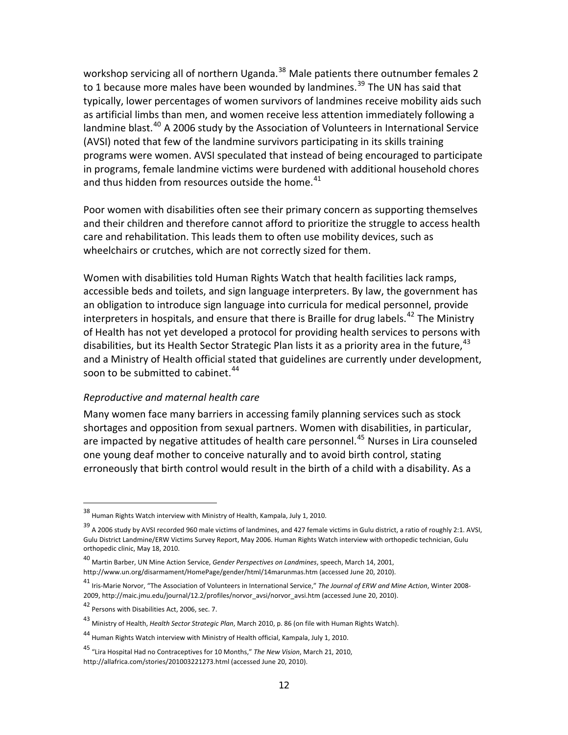workshop servicing all of northern Uganda.<sup>[38](#page-11-0)</sup> Male patients there outnumber females 2 to 1 because more males have been wounded by landmines.<sup>[39](#page-11-1)</sup> The UN has said that typically, lower percentages of women survivors of landmines receive mobility aids such as artificial limbs than men, and women receive less attention immediately following a landmine blast.<sup>[40](#page-11-2)</sup> A 2006 study by the Association of Volunteers in International Service (AVSI) noted that few of the landmine survivors participating in its skills training programs were women. AVSI speculated that instead of being encouraged to participate in programs, female landmine victims were burdened with additional household chores and thus hidden from resources outside the home.<sup>[41](#page-11-3)</sup>

Poor women with disabilities often see their primary concern as supporting themselves and their children and therefore cannot afford to prioritize the struggle to access health care and rehabilitation. This leads them to often use mobility devices, such as wheelchairs or crutches, which are not correctly sized for them.

Women with disabilities told Human Rights Watch that health facilities lack ramps, accessible beds and toilets, and sign language interpreters. By law, the government has an obligation to introduce sign language into curricula for medical personnel, provide interpreters in hospitals, and ensure that there is Braille for drug labels.<sup>[42](#page-11-4)</sup> The Ministry of Health has not yet developed a protocol for providing health services to persons with disabilities, but its Health Sector Strategic Plan lists it as a priority area in the future, <sup>[43](#page-11-5)</sup> and a Ministry of Health official stated that guidelines are currently under development, soon to be submitted to cabinet.<sup>[44](#page-11-6)</sup>

### *Reproductive and maternal health care*

Many women face many barriers in accessing family planning services such as stock shortages and opposition from sexual partners. Women with disabilities, in particular, are impacted by negative attitudes of health care personnel.<sup>[45](#page-11-7)</sup> Nurses in Lira counseled one young deaf mother to conceive naturally and to avoid birth control, stating erroneously that birth control would result in the birth of a child with a disability. As a

<span id="page-11-0"></span><sup>38</sup> Human Rights Watch interview with Ministry of Health, Kampala, July 1, 2010.

<span id="page-11-1"></span><sup>39</sup> <sup>A</sup> <sup>2006</sup> study by AVSI recorded <sup>960</sup> male victims of landmines, and <sup>427</sup> female victims in Gulu district, <sup>a</sup> ratio of roughly 2:1. AVSI, Gulu District Landmine/ERW Victims Survey Report, May 2006. Human Rights Watch interview with orthopedic technician, Gulu orthopedic clinic, May 18, 2010.

<span id="page-11-2"></span><sup>40</sup> Martin Barber, UN Mine Action Service, *Gender Perspectives on Landmines*, speech, March 14, 2001, http://www.un.org/disarmament/HomePage/gender/html/14marunmas.htm (accessed June 20, 2010).

<span id="page-11-3"></span><sup>41</sup> Iris‐Marie Norvor, "The Association of Volunteers in International Service," *The Journal of ERW and Mine Action*, Winter <sup>2008</sup>‐ 2009, http://maic.jmu.edu/journal/12.2/profiles/norvor\_avsi/norvor\_avsi.htm (accessed June 20, 2010).

<span id="page-11-4"></span><sup>42</sup> Persons with Disabilities Act, 2006, sec. 7.

<span id="page-11-5"></span><sup>43</sup> Ministry of Health, *Health Sector Strategic Plan*, March 2010, p. <sup>86</sup> (on file with Human Rights Watch).

<span id="page-11-6"></span><sup>44</sup> Human Rights Watch interview with Ministry of Health official, Kampala, July 1, 2010.

<span id="page-11-7"></span><sup>45</sup> "Lira Hospital Had no Contraceptives for <sup>10</sup> Months," *The New Vision*, March 21, 2010, http://allafrica.com/stories/201003221273.html (accessed June 20, 2010).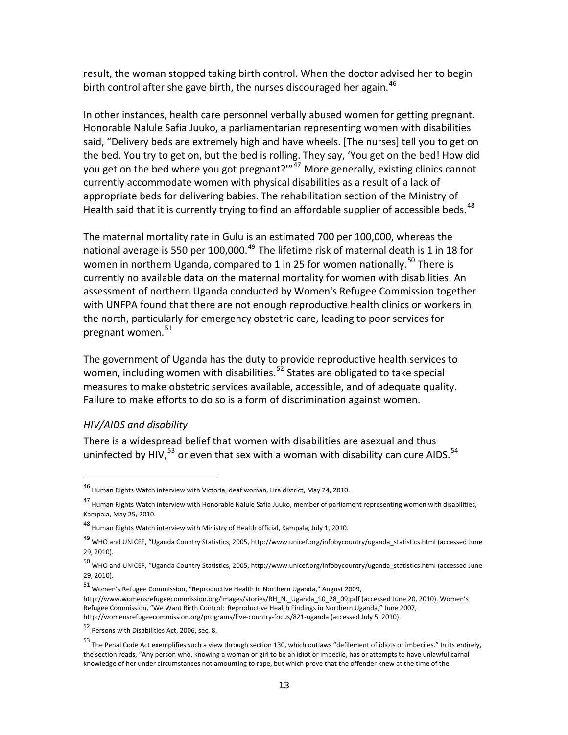result, the woman stopped taking birth control. When the doctor advised her to begin birth control after she gave birth, the nurses discouraged her again. $46$ 

In other instances, health care personnel verbally abused women for getting pregnant. Honorable Nalule Safia Juuko, a parliamentarian representing women with disabilities said, "Delivery beds are extremely high and have wheels. [The nurses] tell you to get on the bed. You try to get on, but the bed is rolling. They say, 'You get on the bed! How did you get on the bed where you got pregnant?"<sup>[47](#page-12-1)</sup> More generally, existing clinics cannot currently accommodate women with physical disabilities as a result of a lack of appropriate beds for delivering babies. The rehabilitation section of the Ministry of Health said that it is currently trying to find an affordable supplier of accessible beds.<sup>[48](#page-12-2)</sup>

The maternal mortality rate in Gulu is an estimated 700 per 100,000, whereas the national average is 550 per 100,000.<sup>[49](#page-12-3)</sup> The lifetime risk of maternal death is 1 in 18 for women in northern Uganda, compared to 1 in 25 for women nationally.<sup>[50](#page-12-4)</sup> There is currently no available data on the maternal mortality for women with disabilities. An assessment of northern Uganda conducted by Women's Refugee Commission together with UNFPA found that there are not enough reproductive health clinics or workers in the north, particularly for emergency obstetric care, leading to poor services for pregnant women.<sup>[51](#page-12-5)</sup>

The government of Uganda has the duty to provide reproductive health services to women, including women with disabilities.<sup>[52](#page-12-6)</sup> States are obligated to take special measures to make obstetric services available, accessible, and of adequate quality. Failure to make efforts to do so is a form of discrimination against women.

## *HIV/AIDS and disability*

 $\overline{a}$ 

There is a widespread belief that women with disabilities are asexual and thus uninfected by HIV, $^{53}$  $^{53}$  $^{53}$  or even that sex with a woman with disability can cure AIDS.  $^{54}$  $^{54}$  $^{54}$ 

<span id="page-12-0"></span><sup>46</sup> Human Rights Watch interview with Victoria, deaf woman, Lira district, May 24, 2010.

<span id="page-12-1"></span><sup>&</sup>lt;sup>47</sup> Human Rights Watch interview with Honorable Nalule Safia Juuko, member of parliament representing women with disabilities, Kampala, May 25, 2010.

<span id="page-12-2"></span><sup>48</sup> Human Rights Watch interview with Ministry of Health official, Kampala, July 1, 2010.

<span id="page-12-8"></span><span id="page-12-3"></span><sup>49</sup> WHO and UNICEF, "Uganda Country Statistics, 2005, http://www.unicef.org/infobycountry/uganda\_statistics.html (accessed June 29, 2010).

<span id="page-12-4"></span><sup>&</sup>lt;sup>50</sup> WHO and UNICEF, "Uganda Country Statistics, 2005, http://www.unicef.org/infobycountry/uganda\_statistics.html (accessed June 29, 2010).

<span id="page-12-5"></span><sup>51</sup> Women's Refugee Commission, "Reproductive Health in Northern Uganda," August 2009,

http://www.womensrefugeecommission.org/images/stories/RH\_N.\_Uganda\_10\_28\_09.pdf (accessed June 20, 2010). Women's Refugee Commission, "We Want Birth Control: Reproductive Health Findings in Northern Uganda," June 2007, http://womensrefugeecommission.org/programs/five‐country‐focus/821‐uganda (accessed July 5, 2010).

<span id="page-12-6"></span><sup>52</sup> Persons with Disabilities Act, 2006, sec. 8.

<span id="page-12-7"></span><sup>53</sup> The Penal Code Act exemplifies such <sup>a</sup> view through section 130, which outlaws "defilement of idiots or imbeciles." In its entirely, the section reads, "Any person who, knowing a woman or girl to be an idiot or imbecile, has or attempts to have unlawful carnal knowledge of her under circumstances not amounting to rape, but which prove that the offender knew at the time of the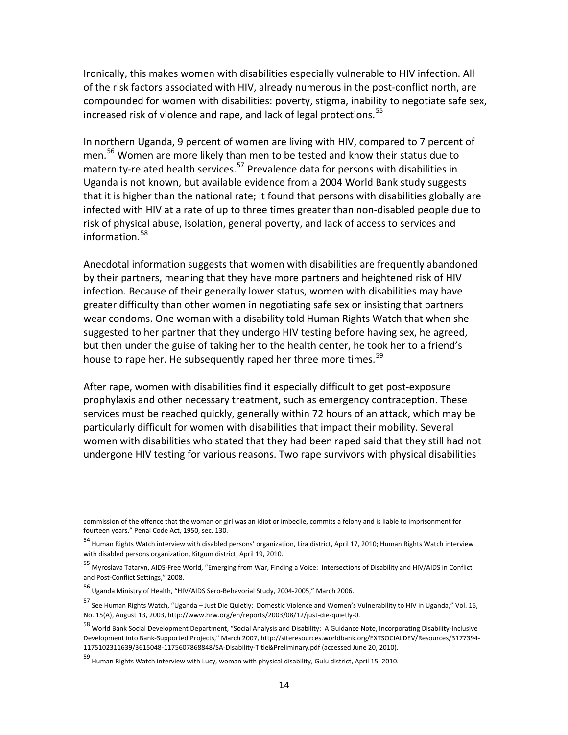Ironically, this makes women with disabilities especially vulnerable to HIV infection. All of the risk factors associated with HIV, already numerous in the post-conflict north, are compounded for women with disabilities: poverty, stigma, inability to negotiate safe sex, increased risk of violence and rape, and lack of legal protections.<sup>[55](#page-13-0)</sup>

In northern Uganda, 9 percent of women are living with HIV, compared to 7 percent of men.<sup>[56](#page-13-1)</sup> Women are more likely than men to be tested and know their status due to maternity-related health services.<sup>[57](#page-13-2)</sup> Prevalence data for persons with disabilities in Uganda is not known, but available evidence from a 2004 World Bank study suggests that it is higher than the national rate; it found that persons with disabilities globally are infected with HIV at a rate of up to three times greater than non‐disabled people due to risk of physical abuse, isolation, general poverty, and lack of access to services and information.<sup>[58](#page-13-3)</sup>

Anecdotal information suggests that women with disabilities are frequently abandoned by their partners, meaning that they have more partners and heightened risk of HIV infection. Because of their generally lower status, women with disabilities may have greater difficulty than other women in negotiating safe sex or insisting that partners wear condoms. One woman with a disability told Human Rights Watch that when she suggested to her partner that they undergo HIV testing before having sex, he agreed, but then under the guise of taking her to the health center, he took her to a friend's house to rape her. He subsequently raped her three more times.  $59$ 

After rape, women with disabilities find it especially difficult to get post‐exposure prophylaxis and other necessary treatment, such as emergency contraception. These services must be reached quickly, generally within 72 hours of an attack, which may be particularly difficult for women with disabilities that impact their mobility. Several women with disabilities who stated that they had been raped said that they still had not undergone HIV testing for various reasons. Two rape survivors with physical disabilities

commission of the offence that the woman or girl was an idiot or imbecile, commits a felony and is liable to imprisonment for fourteen years." Penal Code Act, 1950, sec. 130.

<sup>54</sup> Human Rights Watch interview with disabled persons' organization, Lira district, April 17, 2010; Human Rights Watch interview with disabled persons organization, Kitgum district, April 19, 2010.

<span id="page-13-0"></span><sup>55</sup> Myroslava Tataryn, AIDS‐Free World, "Emerging from War, Finding <sup>a</sup> Voice: Intersections of Disability and HIV/AIDS in Conflict and Post‐Conflict Settings," 2008.

<span id="page-13-1"></span><sup>56</sup> Uganda Ministry of Health, "HIV/AIDS Sero‐Behavorial Study, <sup>2004</sup>‐2005," March 2006.

<span id="page-13-2"></span><sup>57</sup> See Human Rights Watch, "Uganda – Just Die Quietly: Domestic Violence and Women's Vulnerability to HIV in Uganda," Vol. 15, No. 15(A), August 13, 2003, http://www.hrw.org/en/reports/2003/08/12/just‐die‐quietly‐0.

<span id="page-13-3"></span><sup>58</sup> World Bank Social Development Department, "Social Analysis and Disability: A Guidance Note, Incorporating Disability-Inclusive Development into Bank‐Supported Projects," March 2007, http://siteresources.worldbank.org/EXTSOCIALDEV/Resources/3177394‐ 1175102311639/3615048‐1175607868848/SA‐Disability‐Title&Preliminary.pdf (accessed June 20, 2010).

<span id="page-13-4"></span><sup>59</sup> Human Rights Watch interview with Lucy, woman with physical disability, Gulu district, April 15, 2010.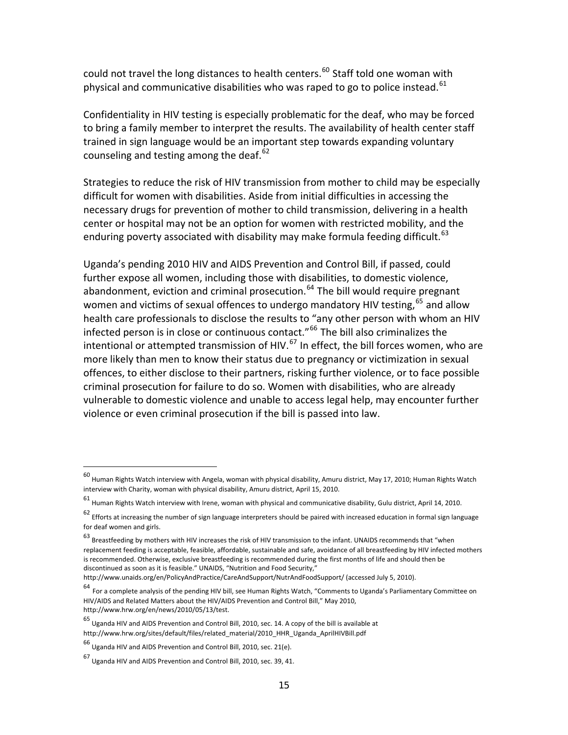could not travel the long distances to health centers.<sup>[60](#page-14-0)</sup> Staff told one woman with physical and communicative disabilities who was raped to go to police instead.  $61$ 

Confidentiality in HIV testing is especially problematic for the deaf, who may be forced to bring a family member to interpret the results. The availability of health center staff trained in sign language would be an important step towards expanding voluntary counseling and testing among the deaf. $62$ 

Strategies to reduce the risk of HIV transmission from mother to child may be especially difficult for women with disabilities. Aside from initial difficulties in accessing the necessary drugs for prevention of mother to child transmission, delivering in a health center or hospital may not be an option for women with restricted mobility, and the enduring poverty associated with disability may make formula feeding difficult.<sup>[63](#page-14-3)</sup>

Uganda's pending 2010 HIV and AIDS Prevention and Control Bill, if passed, could further expose all women, including those with disabilities, to domestic violence, abandonment, eviction and criminal prosecution.<sup>[64](#page-14-4)</sup> The bill would require pregnant women and victims of sexual offences to undergo mandatory HIV testing,  $^{65}$  $^{65}$  $^{65}$  and allow health care professionals to disclose the results to "any other person with whom an HIV infected person is in close or continuous contact."[66](#page-14-6) The bill also criminalizes the intentional or attempted transmission of HIV. $^{67}$  $^{67}$  $^{67}$  In effect, the bill forces women, who are more likely than men to know their status due to pregnancy or victimization in sexual offences, to either disclose to their partners, risking further violence, or to face possible criminal prosecution for failure to do so. Women with disabilities, who are already vulnerable to domestic violence and unable to access legal help, may encounter further violence or even criminal prosecution if the bill is passed into law.

http://www.unaids.org/en/PolicyAndPractice/CareAndSupport/NutrAndFoodSupport/ (accessed July 5, 2010).

<span id="page-14-0"></span><sup>60</sup> Human Rights Watch interview with Angela, woman with physical disability, Amuru district, May 17, 2010; Human Rights Watch interview with Charity, woman with physical disability, Amuru district, April 15, 2010.

<span id="page-14-1"></span> $61$  Human Rights Watch interview with Irene, woman with physical and communicative disability, Gulu district, April 14, 2010.

<span id="page-14-2"></span> $62$  Efforts at increasing the number of sign language interpreters should be paired with increased education in formal sign language for deaf women and girls.

<span id="page-14-3"></span> $63$  Breastfeeding by mothers with HIV increases the risk of HIV transmission to the infant. UNAIDS recommends that "when replacement feeding is acceptable, feasible, affordable, sustainable and safe, avoidance of all breastfeeding by HIV infected mothers is recommended. Otherwise, exclusive breastfeeding is recommended during the first months of life and should then be discontinued as soon as it is feasible." UNAIDS, "Nutrition and Food Security,"

<span id="page-14-4"></span> $64$  For a complete analysis of the pending HIV bill, see Human Rights Watch, "Comments to Uganda's Parliamentary Committee on HIV/AIDS and Related Matters about the HIV/AIDS Prevention and Control Bill," May 2010, http://www.hrw.org/en/news/2010/05/13/test.

<span id="page-14-5"></span><sup>65</sup> Uganda HIV and AIDS Prevention and Control Bill, 2010, sec. 14. <sup>A</sup> copy of the bill is available at http://www.hrw.org/sites/default/files/related\_material/2010\_HHR\_Uganda\_AprilHIVBill.pdf

<span id="page-14-6"></span><sup>66</sup> Uganda HIV and AIDS Prevention and Control Bill, 2010, sec. 21(e).

<span id="page-14-7"></span><sup>67</sup> Uganda HIV and AIDS Prevention and Control Bill, 2010, sec. 39, 41.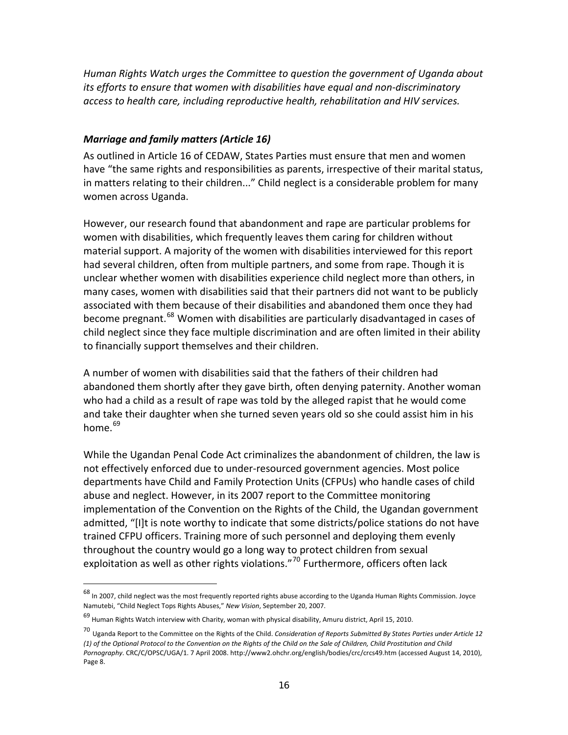*Human Rights Watch urges the Committee to question the government of Uganda about its efforts to ensure that women with disabilities have equal and non‐discriminatory access to health care, including reproductive health, rehabilitation and HIV services.*

# *Marriage and family matters (Article 16)*

As outlined in Article 16 of CEDAW, States Parties must ensure that men and women have "the same rights and responsibilities as parents, irrespective of their marital status, in matters relating to their children..." Child neglect is a considerable problem for many women across Uganda.

However, our research found that abandonment and rape are particular problems for women with disabilities, which frequently leaves them caring for children without material support. A majority of the women with disabilities interviewed for this report had several children, often from multiple partners, and some from rape. Though it is unclear whether women with disabilities experience child neglect more than others, in many cases, women with disabilities said that their partners did not want to be publicly associated with them because of their disabilities and abandoned them once they had become pregnant.<sup>[68](#page-15-0)</sup> Women with disabilities are particularly disadvantaged in cases of child neglect since they face multiple discrimination and are often limited in their ability to financially support themselves and their children.

A number of women with disabilities said that the fathers of their children had abandoned them shortly after they gave birth, often denying paternity. Another woman who had a child as a result of rape was told by the alleged rapist that he would come and take their daughter when she turned seven years old so she could assist him in his home.<sup>[69](#page-15-1)</sup>

While the Ugandan Penal Code Act criminalizes the abandonment of children, the law is not effectively enforced due to under‐resourced government agencies. Most police departments have Child and Family Protection Units (CFPUs) who handle cases of child abuse and neglect. However, in its 2007 report to the Committee monitoring implementation of the Convention on the Rights of the Child, the Ugandan government admitted, "[I]t is note worthy to indicate that some districts/police stations do not have trained CFPU officers. Training more of such personnel and deploying them evenly throughout the country would go a long way to protect children from sexual exploitation as well as other rights violations." $70$  Furthermore, officers often lack

<span id="page-15-0"></span><sup>68</sup> In 2007, child neglect was the most frequently reported rights abuse according to the Uganda Human Rights Commission. Joyce Namutebi, "Child Neglect Tops Rights Abuses," *New Vision*, September 20, 2007.

<span id="page-15-1"></span><sup>69</sup> Human Rights Watch interview with Charity, woman with physical disability, Amuru district, April 15, 2010.

<span id="page-15-2"></span><sup>70</sup> Uganda Report to the Committee on the Rights of the Child. *Consideration of Reports Submitted By States Parties under Article <sup>12</sup>* (1) of the Optional Protocol to the Convention on the Rights of the Child on the Sale of Children, Child Prostitution and Child *Pornography*. CRC/C/OPSC/UGA/1. 7 April 2008. http://www2.ohchr.org/english/bodies/crc/crcs49.htm (accessed August 14, 2010), Page 8.